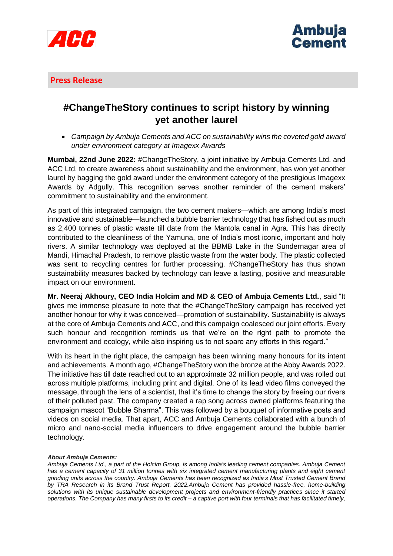



## **Press Release**

## **#ChangeTheStory continues to script history by winning yet another laurel**

 *Campaign by Ambuja Cements and ACC on sustainability wins the coveted gold award under environment category at Imagexx Awards*

**Mumbai, 22nd June 2022:** #ChangeTheStory, a joint initiative by Ambuja Cements Ltd. and ACC Ltd. to create awareness about sustainability and the environment, has won yet another laurel by bagging the gold award under the environment category of the prestigious Imagexx Awards by Adgully. This recognition serves another reminder of the cement makers' commitment to sustainability and the environment.

As part of this integrated campaign, the two cement makers—which are among India's most innovative and sustainable—launched a bubble barrier technology that has fished out as much as 2,400 tonnes of plastic waste till date from the Mantola canal in Agra. This has directly contributed to the cleanliness of the Yamuna, one of India's most iconic, important and holy rivers. A similar technology was deployed at the BBMB Lake in the Sundernagar area of Mandi, Himachal Pradesh, to remove plastic waste from the water body. The plastic collected was sent to recycling centres for further processing. #ChangeTheStory has thus shown sustainability measures backed by technology can leave a lasting, positive and measurable impact on our environment.

**Mr. Neeraj Akhoury, CEO India Holcim and MD & CEO of Ambuja Cements Ltd.**, said "It gives me immense pleasure to note that the #ChangeTheStory campaign has received yet another honour for why it was conceived—promotion of sustainability. Sustainability is always at the core of Ambuja Cements and ACC, and this campaign coalesced our joint efforts. Every such honour and recognition reminds us that we're on the right path to promote the environment and ecology, while also inspiring us to not spare any efforts in this regard."

With its heart in the right place, the campaign has been winning many honours for its intent and achievements. A month ago, #ChangeTheStory won the bronze at the Abby Awards 2022. The initiative has till date reached out to an approximate 32 million people, and was rolled out across multiple platforms, including print and digital. One of its lead video films conveyed the message, through the lens of a scientist, that it's time to change the story by freeing our rivers of their polluted past. The company created a rap song across owned platforms featuring the campaign mascot "Bubble Sharma". This was followed by a bouquet of informative posts and videos on social media. That apart, ACC and Ambuja Cements collaborated with a bunch of micro and nano-social media influencers to drive engagement around the bubble barrier technology.

## *About Ambuja Cements:*

*Ambuja Cements Ltd., a part of the Holcim Group, is among India's leading cement companies. Ambuja Cement*  has a cement capacity of 31 million tonnes with six integrated cement manufacturing plants and eight cement *grinding units across the country. Ambuja Cements has been recognized as India's Most Trusted Cement Brand by TRA Research in its Brand Trust Report, 2022.Ambuja Cement has provided hassle-free, home-building*  solutions with its unique sustainable development projects and environment-friendly practices since it started *operations. The Company has many firsts to its credit – a captive port with four terminals that has facilitated timely,*